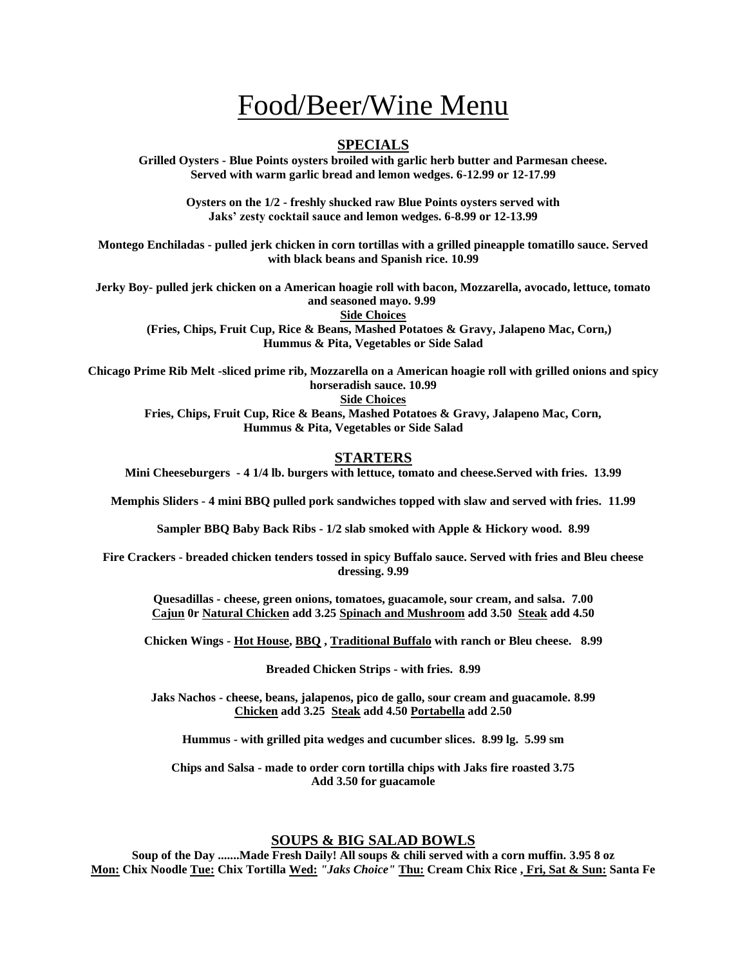# Food/Beer/Wine Menu

## **SPECIALS**

**Grilled Oysters - Blue Points oysters broiled with garlic herb butter and Parmesan cheese. Served with warm garlic bread and lemon wedges. 6-12.99 or 12-17.99**

> **Oysters on the 1/2 - freshly shucked raw Blue Points oysters served with Jaks' zesty cocktail sauce and lemon wedges. 6-8.99 or 12-13.99**

**Montego Enchiladas - pulled jerk chicken in corn tortillas with a grilled pineapple tomatillo sauce. Served with black beans and Spanish rice. 10.99**

**Jerky Boy- pulled jerk chicken on a American hoagie roll with bacon, Mozzarella, avocado, lettuce, tomato and seasoned mayo. 9.99**

**Side Choices**

 **(Fries, Chips, Fruit Cup, Rice & Beans, Mashed Potatoes & Gravy, Jalapeno Mac, Corn,) Hummus & Pita, Vegetables or Side Salad**

**Chicago Prime Rib Melt -sliced prime rib, Mozzarella on a American hoagie roll with grilled onions and spicy horseradish sauce. 10.99 Side Choices**

**Fries, Chips, Fruit Cup, Rice & Beans, Mashed Potatoes & Gravy, Jalapeno Mac, Corn, Hummus & Pita, Vegetables or Side Salad** 

### **STARTERS**

**Mini Cheeseburgers - 4 1/4 lb. burgers with lettuce, tomato and cheese.Served with fries. 13.99**

**Memphis Sliders - 4 mini BBQ pulled pork sandwiches topped with slaw and served with fries. 11.99**

**Sampler BBQ Baby Back Ribs - 1/2 slab smoked with Apple & Hickory wood. 8.99**

**Fire Crackers - breaded chicken tenders tossed in spicy Buffalo sauce. Served with fries and Bleu cheese dressing. 9.99**

**Quesadillas - cheese, green onions, tomatoes, guacamole, sour cream, and salsa. 7.00 Cajun 0r Natural Chicken add 3.25 Spinach and Mushroom add 3.50 Steak add 4.50**

**Chicken Wings - Hot House, BBQ , Traditional Buffalo with ranch or Bleu cheese. 8.99**

**Breaded Chicken Strips - with fries. 8.99**

**Jaks Nachos - cheese, beans, jalapenos, pico de gallo, sour cream and guacamole. 8.99 Chicken add 3.25 Steak add 4.50 Portabella add 2.50**

**Hummus - with grilled pita wedges and cucumber slices. 8.99 lg. 5.99 sm**

**Chips and Salsa - made to order corn tortilla chips with Jaks fire roasted 3.75 Add 3.50 for guacamole**

#### **SOUPS & BIG SALAD BOWLS**

**Soup of the Day .......Made Fresh Daily! All soups & chili served with a corn muffin. 3.95 8 oz Mon: Chix Noodle Tue: Chix Tortilla Wed:** *"Jaks Choice"* **Thu: Cream Chix Rice , Fri, Sat & Sun: Santa Fe**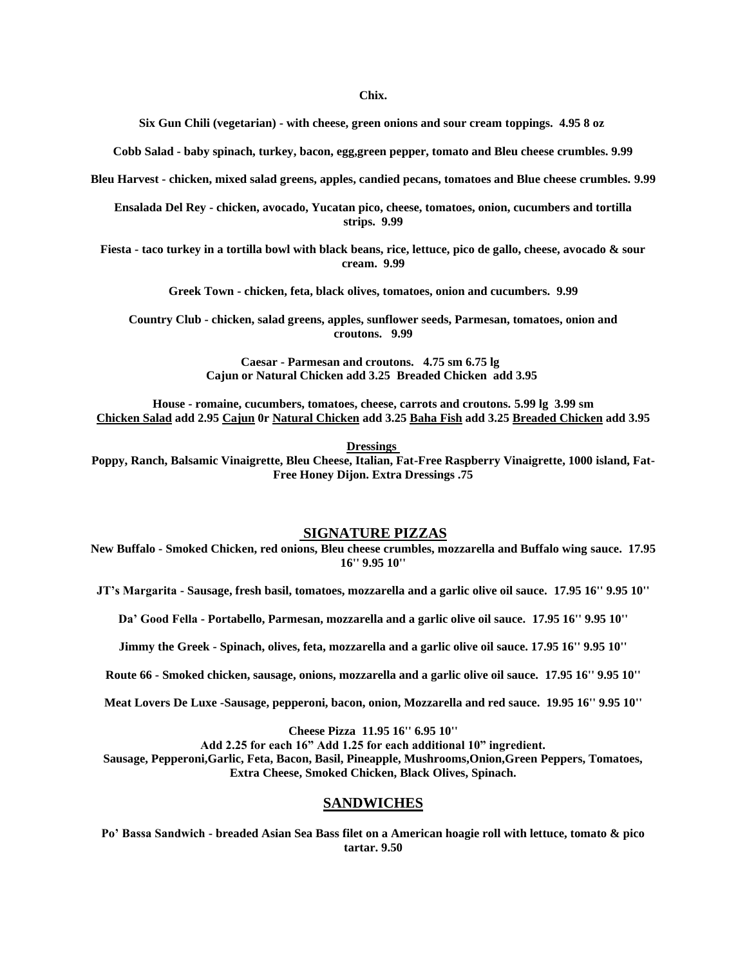#### **Chix.**

**Six Gun Chili (vegetarian) - with cheese, green onions and sour cream toppings. 4.95 8 oz**

**Cobb Salad - baby spinach, turkey, bacon, egg,green pepper, tomato and Bleu cheese crumbles. 9.99**

**Bleu Harvest - chicken, mixed salad greens, apples, candied pecans, tomatoes and Blue cheese crumbles. 9.99**

**Ensalada Del Rey - chicken, avocado, Yucatan pico, cheese, tomatoes, onion, cucumbers and tortilla strips. 9.99**

**Fiesta - taco turkey in a tortilla bowl with black beans, rice, lettuce, pico de gallo, cheese, avocado & sour cream. 9.99**

**Greek Town - chicken, feta, black olives, tomatoes, onion and cucumbers. 9.99**

**Country Club - chicken, salad greens, apples, sunflower seeds, Parmesan, tomatoes, onion and croutons. 9.99**

> **Caesar - Parmesan and croutons. 4.75 sm 6.75 lg Cajun or Natural Chicken add 3.25 Breaded Chicken add 3.95**

**House - romaine, cucumbers, tomatoes, cheese, carrots and croutons. 5.99 lg 3.99 sm Chicken Salad add 2.95 Cajun 0r Natural Chicken add 3.25 Baha Fish add 3.25 Breaded Chicken add 3.95**

**Dressings**

**Poppy, Ranch, Balsamic Vinaigrette, Bleu Cheese, Italian, Fat-Free Raspberry Vinaigrette, 1000 island, Fat-Free Honey Dijon. Extra Dressings .75**

#### **SIGNATURE PIZZAS**

**New Buffalo - Smoked Chicken, red onions, Bleu cheese crumbles, mozzarella and Buffalo wing sauce. 17.95 16'' 9.95 10''**

**JT's Margarita - Sausage, fresh basil, tomatoes, mozzarella and a garlic olive oil sauce. 17.95 16'' 9.95 10''**

**Da' Good Fella - Portabello, Parmesan, mozzarella and a garlic olive oil sauce. 17.95 16'' 9.95 10''**

**Jimmy the Greek - Spinach, olives, feta, mozzarella and a garlic olive oil sauce. 17.95 16'' 9.95 10''**

**Route 66 - Smoked chicken, sausage, onions, mozzarella and a garlic olive oil sauce. 17.95 16'' 9.95 10''**

**Meat Lovers De Luxe -Sausage, pepperoni, bacon, onion, Mozzarella and red sauce. 19.95 16'' 9.95 10''**

**Cheese Pizza 11.95 16'' 6.95 10''**

**Add 2.25 for each 16" Add 1.25 for each additional 10" ingredient. Sausage, Pepperoni,Garlic, Feta, Bacon, Basil, Pineapple, Mushrooms,Onion,Green Peppers, Tomatoes, Extra Cheese, Smoked Chicken, Black Olives, Spinach.**

### **SANDWICHES**

**Po' Bassa Sandwich - breaded Asian Sea Bass filet on a American hoagie roll with lettuce, tomato & pico tartar. 9.50**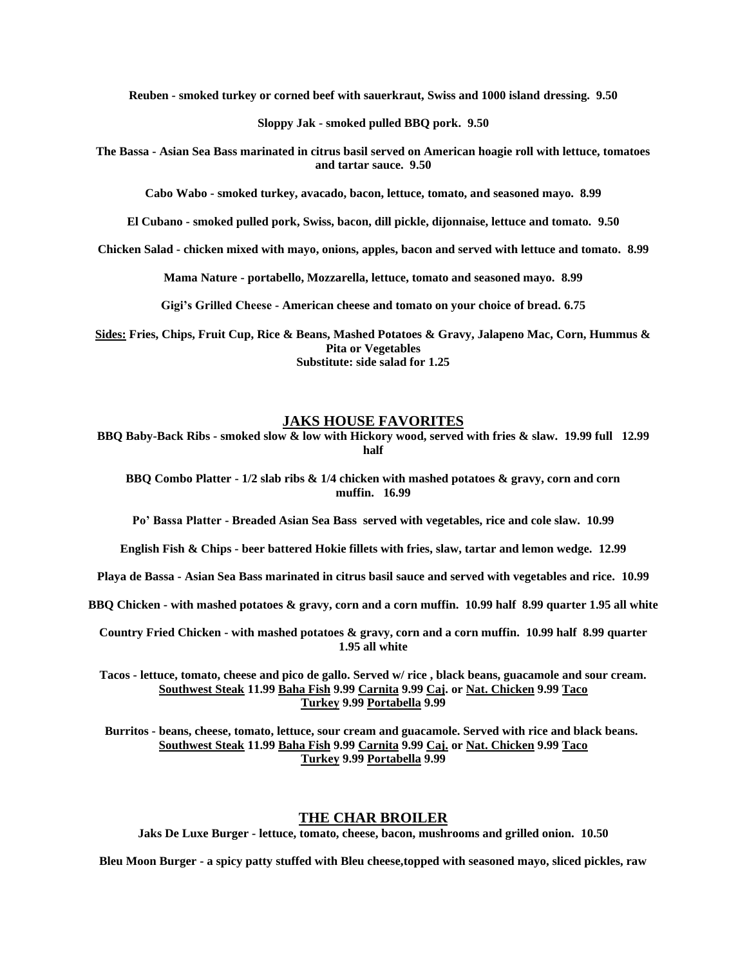**Reuben - smoked turkey or corned beef with sauerkraut, Swiss and 1000 island dressing. 9.50**

**Sloppy Jak - smoked pulled BBQ pork. 9.50**

**The Bassa - Asian Sea Bass marinated in citrus basil served on American hoagie roll with lettuce, tomatoes and tartar sauce. 9.50**

**Cabo Wabo - smoked turkey, avacado, bacon, lettuce, tomato, and seasoned mayo. 8.99**

**El Cubano - smoked pulled pork, Swiss, bacon, dill pickle, dijonnaise, lettuce and tomato. 9.50**

**Chicken Salad - chicken mixed with mayo, onions, apples, bacon and served with lettuce and tomato. 8.99**

**Mama Nature - portabello, Mozzarella, lettuce, tomato and seasoned mayo. 8.99**

**Gigi's Grilled Cheese - American cheese and tomato on your choice of bread. 6.75**

**Sides: Fries, Chips, Fruit Cup, Rice & Beans, Mashed Potatoes & Gravy, Jalapeno Mac, Corn, Hummus & Pita or Vegetables Substitute: side salad for 1.25**

## **JAKS HOUSE FAVORITES**

**BBQ Baby-Back Ribs - smoked slow & low with Hickory wood, served with fries & slaw. 19.99 full 12.99 half**

**BBQ Combo Platter - 1/2 slab ribs & 1/4 chicken with mashed potatoes & gravy, corn and corn muffin. 16.99**

**Po' Bassa Platter - Breaded Asian Sea Bass served with vegetables, rice and cole slaw. 10.99**

**English Fish & Chips - beer battered Hokie fillets with fries, slaw, tartar and lemon wedge. 12.99**

**Playa de Bassa - Asian Sea Bass marinated in citrus basil sauce and served with vegetables and rice. 10.99**

**BBQ Chicken - with mashed potatoes & gravy, corn and a corn muffin. 10.99 half 8.99 quarter 1.95 all white**

**Country Fried Chicken - with mashed potatoes & gravy, corn and a corn muffin. 10.99 half 8.99 quarter 1.95 all white**

**Tacos - lettuce, tomato, cheese and pico de gallo. Served w/ rice , black beans, guacamole and sour cream. Southwest Steak 11.99 Baha Fish 9.99 Carnita 9.99 Caj. or Nat. Chicken 9.99 Taco Turkey 9.99 Portabella 9.99**

**Burritos - beans, cheese, tomato, lettuce, sour cream and guacamole. Served with rice and black beans. Southwest Steak 11.99 Baha Fish 9.99 Carnita 9.99 Caj. or Nat. Chicken 9.99 Taco Turkey 9.99 Portabella 9.99**

# **THE CHAR BROILER**

**Jaks De Luxe Burger - lettuce, tomato, cheese, bacon, mushrooms and grilled onion. 10.50**

**Bleu Moon Burger - a spicy patty stuffed with Bleu cheese,topped with seasoned mayo, sliced pickles, raw**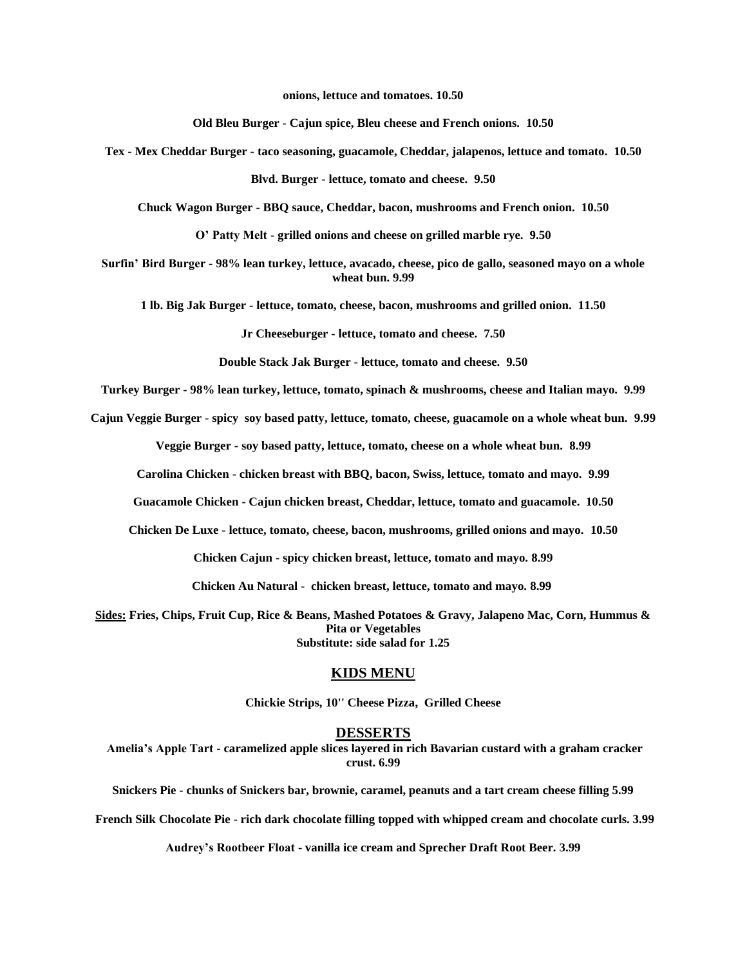**onions, lettuce and tomatoes. 10.50**

**Old Bleu Burger - Cajun spice, Bleu cheese and French onions. 10.50**

**Tex - Mex Cheddar Burger - taco seasoning, guacamole, Cheddar, jalapenos, lettuce and tomato. 10.50**

**Blvd. Burger - lettuce, tomato and cheese. 9.50**

**Chuck Wagon Burger - BBQ sauce, Cheddar, bacon, mushrooms and French onion. 10.50**

**O' Patty Melt - grilled onions and cheese on grilled marble rye. 9.50**

**Surfin' Bird Burger - 98% lean turkey, lettuce, avacado, cheese, pico de gallo, seasoned mayo on a whole wheat bun. 9.99**

**1 lb. Big Jak Burger - lettuce, tomato, cheese, bacon, mushrooms and grilled onion. 11.50**

**Jr Cheeseburger - lettuce, tomato and cheese. 7.50**

**Double Stack Jak Burger - lettuce, tomato and cheese. 9.50**

**Turkey Burger - 98% lean turkey, lettuce, tomato, spinach & mushrooms, cheese and Italian mayo. 9.99**

**Cajun Veggie Burger - spicy soy based patty, lettuce, tomato, cheese, guacamole on a whole wheat bun. 9.99**

**Veggie Burger - soy based patty, lettuce, tomato, cheese on a whole wheat bun. 8.99**

**Carolina Chicken - chicken breast with BBQ, bacon, Swiss, lettuce, tomato and mayo. 9.99**

**Guacamole Chicken - Cajun chicken breast, Cheddar, lettuce, tomato and guacamole. 10.50**

**Chicken De Luxe - lettuce, tomato, cheese, bacon, mushrooms, grilled onions and mayo. 10.50**

**Chicken Cajun - spicy chicken breast, lettuce, tomato and mayo. 8.99**

**Chicken Au Natural - chicken breast, lettuce, tomato and mayo. 8.99**

**Sides: Fries, Chips, Fruit Cup, Rice & Beans, Mashed Potatoes & Gravy, Jalapeno Mac, Corn, Hummus & Pita or Vegetables Substitute: side salad for 1.25**

#### **KIDS MENU**

**Chickie Strips, 10'' Cheese Pizza, Grilled Cheese**

#### **DESSERTS**

**Amelia's Apple Tart - caramelized apple slices layered in rich Bavarian custard with a graham cracker crust. 6.99**

**Snickers Pie - chunks of Snickers bar, brownie, caramel, peanuts and a tart cream cheese filling 5.99**

**French Silk Chocolate Pie - rich dark chocolate filling topped with whipped cream and chocolate curls. 3.99**

**Audrey's Rootbeer Float - vanilla ice cream and Sprecher Draft Root Beer. 3.99**